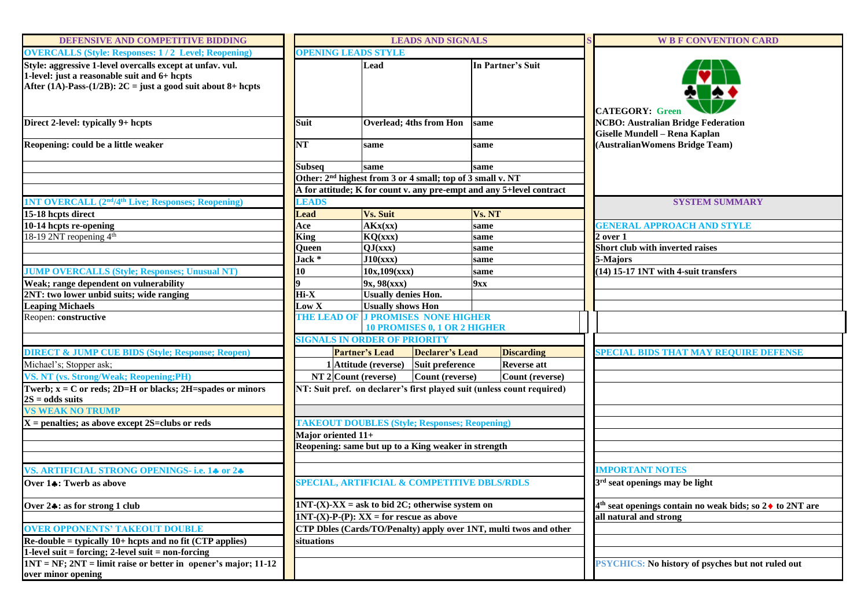| DEFENSIVE AND COMPETITIVE BIDDING                                                                                                                                             |                                                    | <b>LEADS AND SIGNALS</b>                                               |                                |                                                                        |  | <b>W B F CONVENTION CARD</b>                                                        |
|-------------------------------------------------------------------------------------------------------------------------------------------------------------------------------|----------------------------------------------------|------------------------------------------------------------------------|--------------------------------|------------------------------------------------------------------------|--|-------------------------------------------------------------------------------------|
| <b>OVERCALLS (Style: Responses: 1/2 Level; Reopening)</b>                                                                                                                     | <b>OPENING LEADS STYLE</b>                         |                                                                        |                                |                                                                        |  |                                                                                     |
| Style: aggressive 1-level overcalls except at unfav. vul.<br>1-level: just a reasonable suit and 6+ hcpts<br>After (1A)-Pass- $(1/2B)$ : 2C = just a good suit about 8+ hcpts |                                                    | Lead                                                                   |                                | In Partner's Suit                                                      |  | <b>CATEGORY: Green</b>                                                              |
| Direct 2-level: typically 9+ hcpts                                                                                                                                            | <b>Suit</b>                                        |                                                                        | <b>Overlead; 4ths from Hon</b> | same                                                                   |  | <b>NCBO: Australian Bridge Federation</b><br>Giselle Mundell - Rena Kaplan          |
| Reopening: could be a little weaker                                                                                                                                           | NT                                                 | same                                                                   |                                | same                                                                   |  | (Australian Womens Bridge Team)                                                     |
|                                                                                                                                                                               | <b>Subseq</b>                                      | same                                                                   |                                | same                                                                   |  |                                                                                     |
|                                                                                                                                                                               |                                                    | Other: 2 <sup>nd</sup> highest from 3 or 4 small; top of 3 small v. NT |                                |                                                                        |  |                                                                                     |
|                                                                                                                                                                               |                                                    |                                                                        |                                | A for attitude; K for count v. any pre-empt and any 5+level contract   |  |                                                                                     |
| <b>1NT OVERCALL (2<sup>nd</sup>/4<sup>th</sup> Live; Responses; Reopening)</b>                                                                                                | <b>LEADS</b>                                       |                                                                        |                                |                                                                        |  | <b>SYSTEM SUMMARY</b>                                                               |
| 15-18 hcpts direct                                                                                                                                                            | <b>Lead</b>                                        | <b>Vs. Suit</b>                                                        |                                | Vs. NT                                                                 |  |                                                                                     |
| 10-14 hcpts re-opening                                                                                                                                                        | Ace                                                | AKx(xx)                                                                |                                | same                                                                   |  | <b>GENERAL APPROACH AND STYLE</b>                                                   |
| 18-19 2NT reopening 4 <sup>th</sup>                                                                                                                                           | <b>King</b>                                        | KQ(xx)                                                                 |                                | same                                                                   |  | $2$ over $1$                                                                        |
|                                                                                                                                                                               | Queen                                              | QJ(xxx)                                                                |                                | same                                                                   |  | Short club with inverted raises                                                     |
|                                                                                                                                                                               | Jack *                                             | J10(xxx)                                                               |                                | same                                                                   |  | 5-Majors                                                                            |
| <b>JUMP OVERCALLS (Style; Responses; Unusual NT)</b>                                                                                                                          | 10                                                 | 10x, 109(xxx)                                                          |                                | same                                                                   |  | (14) 15-17 1NT with 4-suit transfers                                                |
| Weak; range dependent on vulnerability                                                                                                                                        |                                                    | 9x, 98(xxx)                                                            |                                | 9xx                                                                    |  |                                                                                     |
| 2NT: two lower unbid suits; wide ranging<br><b>Leaping Michaels</b>                                                                                                           | Hi-X<br>Low X                                      | <b>Usually denies Hon.</b><br><b>Usually shows Hon</b>                 |                                |                                                                        |  |                                                                                     |
| Reopen: constructive                                                                                                                                                          |                                                    | THE LEAD OF J PROMISES NONE HIGHER                                     |                                |                                                                        |  |                                                                                     |
|                                                                                                                                                                               |                                                    |                                                                        | 10 PROMISES 0, 1 OR 2 HIGHER   |                                                                        |  |                                                                                     |
|                                                                                                                                                                               | <b>SIGNALS IN ORDER OF PRIORITY</b>                |                                                                        |                                |                                                                        |  |                                                                                     |
| <b>DIRECT &amp; JUMP CUE BIDS (Style; Response; Reopen)</b>                                                                                                                   |                                                    | <b>Partner's Lead</b>                                                  | <b>Declarer's Lead</b>         | <b>Discarding</b>                                                      |  | <b>SPECIAL BIDS THAT MAY REQUIRE DEFENSE</b>                                        |
| Michael's; Stopper ask;                                                                                                                                                       |                                                    | 1 Attitude (reverse)                                                   | Suit preference                | <b>Reverse</b> att                                                     |  |                                                                                     |
| VS. NT (vs. Strong/Weak; Reopening;PH)                                                                                                                                        |                                                    | $NT$ 2 Count (reverse)                                                 | Count (reverse)                | Count (reverse)                                                        |  |                                                                                     |
| Twerb; $x = C$ or reds; 2D=H or blacks; 2H=spades or minors<br>$2S = odds$ suits                                                                                              |                                                    |                                                                        |                                | NT: Suit pref. on declarer's first played suit (unless count required) |  |                                                                                     |
| <b>VS WEAK NO TRUMP</b>                                                                                                                                                       |                                                    |                                                                        |                                |                                                                        |  |                                                                                     |
| $X =$ penalties; as above except 2S=clubs or reds                                                                                                                             |                                                    | <b>TAKEOUT DOUBLES (Style; Responses; Reopening)</b>                   |                                |                                                                        |  |                                                                                     |
|                                                                                                                                                                               | Major oriented 11+                                 |                                                                        |                                |                                                                        |  |                                                                                     |
|                                                                                                                                                                               |                                                    | Reopening: same but up to a King weaker in strength                    |                                |                                                                        |  |                                                                                     |
| VS. ARTIFICIAL STRONG OPENINGS- i.e. 14 or 24                                                                                                                                 |                                                    |                                                                        |                                |                                                                        |  | <b>IMPORTANT NOTES</b>                                                              |
| Over 14: Twerb as above                                                                                                                                                       | SPECIAL, ARTIFICIAL & COMPETITIVE DBLS/RDLS        |                                                                        |                                |                                                                        |  | 3 <sup>rd</sup> seat openings may be light                                          |
| Over 24: as for strong 1 club                                                                                                                                                 | $INT-(X)-XX = ask to bid 2C$ ; otherwise system on |                                                                        |                                |                                                                        |  | 4 <sup>th</sup> seat openings contain no weak bids; so 2 $\blacklozenge$ to 2NT are |
|                                                                                                                                                                               | $INT-(X)-P-(P)$ : $XX = for rescue as above$       |                                                                        |                                |                                                                        |  | all natural and strong                                                              |
| <b>OVER OPPONENTS' TAKEOUT DOUBLE</b>                                                                                                                                         |                                                    |                                                                        |                                | CTP Dbles (Cards/TO/Penalty) apply over 1NT, multi twos and other      |  |                                                                                     |
| $Re\text{-double}$ = typically 10+ hcpts and no fit (CTP applies)                                                                                                             | situations                                         |                                                                        |                                |                                                                        |  |                                                                                     |
| 1-level suit = forcing; 2-level suit = non-forcing                                                                                                                            |                                                    |                                                                        |                                |                                                                        |  |                                                                                     |
| $1NT = NF$ ; $2NT = limit$ raise or better in opener's major; 11-12                                                                                                           |                                                    |                                                                        |                                |                                                                        |  | <b>PSYCHICS:</b> No history of psyches but not ruled out                            |
| over minor opening                                                                                                                                                            |                                                    |                                                                        |                                |                                                                        |  |                                                                                     |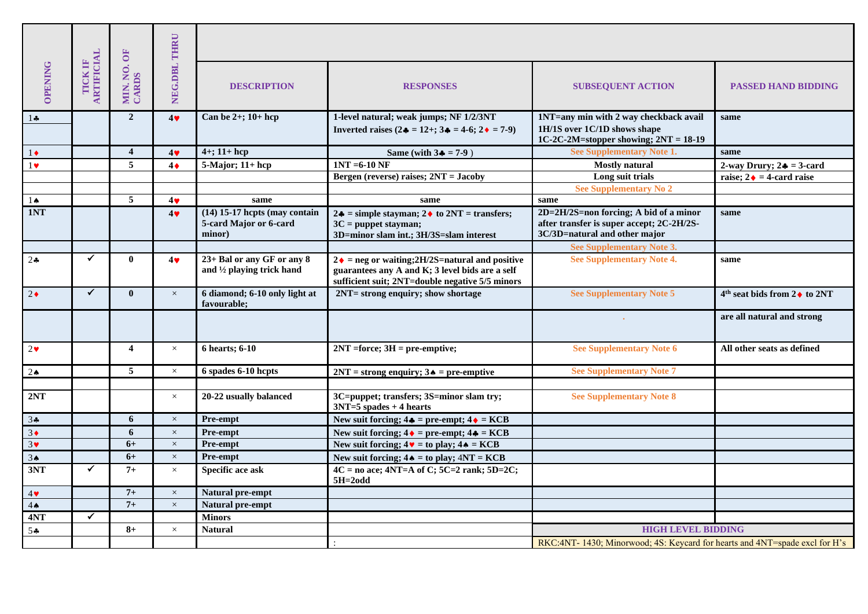|                       |                                     |                         | NEG.DBL THRU   |                                                                     |                                                                                                                                                                      |                                                                                                                      |                                         |  |  |
|-----------------------|-------------------------------------|-------------------------|----------------|---------------------------------------------------------------------|----------------------------------------------------------------------------------------------------------------------------------------------------------------------|----------------------------------------------------------------------------------------------------------------------|-----------------------------------------|--|--|
| <b>OPENING</b>        | <b>ARTIFICIAL</b><br><b>TICK IF</b> | MIN. NO. OF<br>CARDS    |                | <b>DESCRIPTION</b>                                                  | <b>RESPONSES</b>                                                                                                                                                     | <b>SUBSEQUENT ACTION</b>                                                                                             | <b>PASSED HAND BIDDING</b>              |  |  |
| $1 -$                 |                                     | $\overline{2}$          | $4$ $\bullet$  | Can be $2+$ ; $10+$ hcp                                             | 1-level natural; weak jumps; NF 1/2/3NT                                                                                                                              | 1NT=any min with 2 way checkback avail                                                                               | same                                    |  |  |
|                       |                                     |                         |                |                                                                     | Inverted raises $(2 \cdot \bullet = 12 + 3 \cdot \bullet = 4 - 6; 2 \cdot \bullet = 7 - 9)$                                                                          | 1H/1S over 1C/1D shows shape<br>1C-2C-2M=stopper showing; $2NT = 18-19$                                              |                                         |  |  |
| $1\bullet$            |                                     | $\overline{\mathbf{4}}$ | $4$ $\bullet$  | $4+$ ; 11+ hcp                                                      | Same (with $3\clubsuit$ = 7-9)                                                                                                                                       | See Supplementary Note 1.                                                                                            | same                                    |  |  |
| $1\blacktriangledown$ |                                     | 5                       | $4\bullet$     | $5-Major; 11+hcp$                                                   | $INT = 6-10$ NF                                                                                                                                                      | <b>Mostly natural</b>                                                                                                | 2-way Drury; $2\bullet = 3$ -card       |  |  |
|                       |                                     |                         |                |                                                                     | Bergen (reverse) raises; 2NT = Jacoby                                                                                                                                | Long suit trials                                                                                                     | raise; $2 \div = 4$ -card raise         |  |  |
|                       |                                     |                         |                |                                                                     |                                                                                                                                                                      | <b>See Supplementary No 2</b>                                                                                        |                                         |  |  |
| $1\spadesuit$         |                                     | 5                       | 4              | same                                                                | same                                                                                                                                                                 | same                                                                                                                 |                                         |  |  |
| 1NT                   |                                     |                         | 4 <sub>9</sub> | $(14)$ 15-17 hcpts (may contain<br>5-card Major or 6-card<br>minor) | $2\clubsuit$ = simple stayman; $2\spadesuit$ to $2NT$ = transfers;<br>$3C =$ puppet stayman;<br>3D=minor slam int.; 3H/3S=slam interest                              | 2D=2H/2S=non forcing; A bid of a minor<br>after transfer is super accept; 2C-2H/2S-<br>3C/3D=natural and other major | same                                    |  |  |
|                       |                                     |                         |                |                                                                     |                                                                                                                                                                      | See Supplementary Note 3.                                                                                            |                                         |  |  |
| $2$ $\bullet$         | ✔                                   | $\mathbf{0}$            | 4 <sub>9</sub> | 23+ Bal or any GF or any 8<br>and 1/2 playing trick hand            | $2 \cdot \bullet$ = neg or waiting; 2H/2S=natural and positive<br>guarantees any A and K; 3 level bids are a self<br>sufficient suit; 2NT=double negative 5/5 minors | <b>See Supplementary Note 4.</b>                                                                                     | same                                    |  |  |
| $2\bullet$            | $\checkmark$                        | $\mathbf{0}$            | $\times$       | 6 diamond; 6-10 only light at<br>favourable:                        | 2NT= strong enquiry; show shortage                                                                                                                                   | <b>See Supplementary Note 5</b>                                                                                      | $4th$ seat bids from 2 $\bullet$ to 2NT |  |  |
|                       |                                     |                         |                |                                                                     |                                                                                                                                                                      |                                                                                                                      | are all natural and strong              |  |  |
| $2\blacktriangledown$ |                                     | $\overline{\mathbf{4}}$ | $\times$       | 6 hearts; 6-10                                                      | $2NT = force$ ; $3H = pre-emptive$ ;                                                                                                                                 | <b>See Supplementary Note 6</b>                                                                                      | All other seats as defined              |  |  |
| $2 \spadesuit$        |                                     | 5                       | $\times$       | 6 spades 6-10 hcpts                                                 | $2NT =$ strong enquiry; $3 \triangleleft =$ pre-emptive                                                                                                              | <b>See Supplementary Note 7</b>                                                                                      |                                         |  |  |
|                       |                                     |                         |                |                                                                     |                                                                                                                                                                      |                                                                                                                      |                                         |  |  |
| 2NT                   |                                     |                         | $\times$       | 20-22 usually balanced                                              | 3C=puppet; transfers; 3S=minor slam try;<br>$3NT=5$ spades + 4 hearts                                                                                                | <b>See Supplementary Note 8</b>                                                                                      |                                         |  |  |
| 34                    |                                     | 6                       | $\times$       | Pre-empt                                                            | New suit forcing; $4\clubsuit$ = pre-empt; $4\spadesuit$ = KCB                                                                                                       |                                                                                                                      |                                         |  |  |
| $3\bullet$            |                                     | 6                       | $\times$       | Pre-empt                                                            | New suit forcing; $4 \cdot =$ pre-empt; $4 \cdot =$ KCB                                                                                                              |                                                                                                                      |                                         |  |  |
| $3\blacktriangledown$ |                                     | $6+$                    | $\times$       | Pre-empt                                                            | New suit forcing; $4 \cdot \bullet = \text{to play}; 4 \cdot \bullet = \text{KCB}$                                                                                   |                                                                                                                      |                                         |  |  |
| 3 <sub>•</sub>        |                                     | $6+$                    | $\times$       | Pre-empt                                                            | New suit forcing; $4 \triangleleft = \text{to play}; 4NT = KCB$                                                                                                      |                                                                                                                      |                                         |  |  |
| 3NT                   | $\checkmark$                        | $7+$                    | $\times$       | Specific ace ask                                                    | $4C = no$ ace; $4NT=A$ of C; $5C=2$ rank; $5D=2C$ ;<br>$5H = 2odd$                                                                                                   |                                                                                                                      |                                         |  |  |
| $4\blacktriangledown$ |                                     | $7+$                    | $\times$       | Natural pre-empt                                                    |                                                                                                                                                                      |                                                                                                                      |                                         |  |  |
| $4 \spadesuit$        |                                     | $7+$                    | $\times$       | Natural pre-empt                                                    |                                                                                                                                                                      |                                                                                                                      |                                         |  |  |
| 4NT                   | $\checkmark$                        |                         |                | <b>Minors</b>                                                       |                                                                                                                                                                      |                                                                                                                      |                                         |  |  |
| $5 -$                 |                                     | $8+$                    | $\times$       | <b>Natural</b>                                                      |                                                                                                                                                                      | <b>HIGH LEVEL BIDDING</b>                                                                                            |                                         |  |  |
|                       |                                     |                         |                |                                                                     |                                                                                                                                                                      | RKC:4NT-1430; Minorwood; 4S: Keycard for hearts and 4NT=spade excl for H's                                           |                                         |  |  |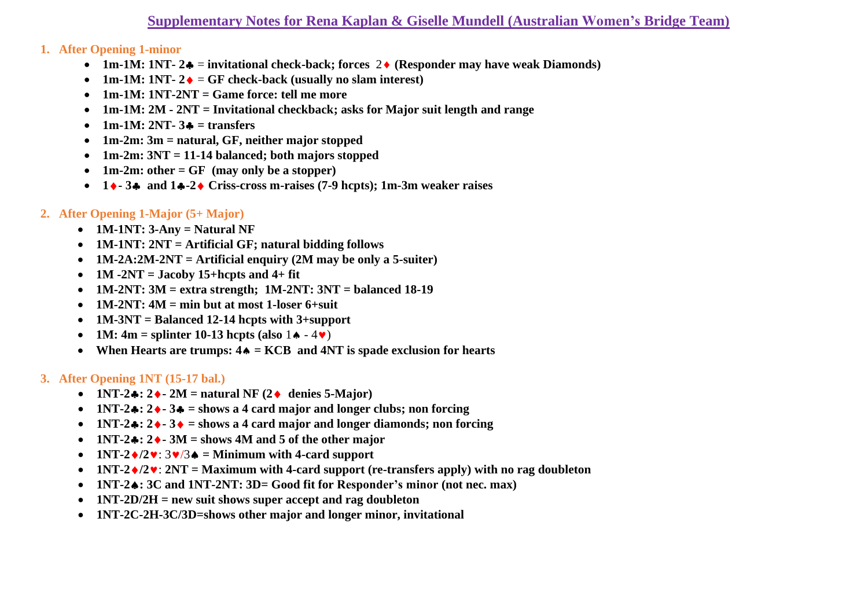# **Supplementary Notes for Rena Kaplan & Giselle Mundell (Australian Women's Bridge Team)**

#### **1. After Opening 1-minor**

- 1m-1M: 1NT- $2$   $\bullet$  = invitational check-back; forces  $2 \bullet$  (Responder may have weak Diamonds)
- **1m-1M: 1NT-**  $2 \cdot \bullet = \text{GF check-back (usually no slam interest)}$
- **1m-1M: 1NT-2NT = Game force: tell me more**
- **1m-1M: 2M - 2NT = Invitational checkback; asks for Major suit length and range**
- $\bullet$  1m-1M: 2NT- $3\bullet$  = transfers
- **1m-2m: 3m = natural, GF, neither major stopped**
- **1m-2m: 3NT = 11-14 balanced; both majors stopped**
- **1m-2m: other = GF (may only be a stopper)**
- **1- 3 and 1-2 Criss-cross m-raises (7-9 hcpts); 1m-3m weaker raises**

## **2. After Opening 1-Major (5+ Major)**

- **1M-1NT: 3-Any = Natural NF**
- **1M-1NT: 2NT = Artificial GF; natural bidding follows**
- **1M-2A:2M-2NT = Artificial enquiry (2M may be only a 5-suiter)**
- $1M 2NT = Jacoby 15 + hcyt s and 4 + fit$
- **1M-2NT: 3M = extra strength; 1M-2NT: 3NT = balanced 18-19**
- **1M-2NT: 4M = min but at most 1-loser 6+suit**
- **1M-3NT = Balanced 12-14 hcpts with 3+support**
- **1M:**  $4m =$  splinter 10-13 hcpts (also  $1 \cdot 4 \cdot 4 \cdot 7$ )
- **When Hearts are trumps: 4 = KCB and 4NT is spade exclusion for hearts**

### **3. After Opening 1NT (15-17 bal.)**

- **1NT-2** $\bullet$ **: 2** $\bullet$  **2M** = natural NF (2 $\bullet$  denies 5-Major)
- **1NT-2: 2- 3 = shows a 4 card major and longer clubs; non forcing**
- **1NT-2** $\div$ **: 2** $\div$ **-3** $\div$  = shows a 4 card major and longer diamonds; non forcing
- **1NT-2** $\bullet$ **: 2** $\bullet$  **-3M** = shows 4M and 5 of the other major
- **1NT-2** $\sqrt{2}$ :  $3\sqrt{3}$  = Minimum with 4-card support
- **1NT-2** $\sqrt{2}$ : **2NT** = Maximum with 4-card support (re-transfers apply) with no rag doubleton
- **1NT-2: 3C and 1NT-2NT: 3D= Good fit for Responder's minor (not nec. max)**
- **1NT-2D/2H = new suit shows super accept and rag doubleton**
- **1NT-2C-2H-3C/3D=shows other major and longer minor, invitational**